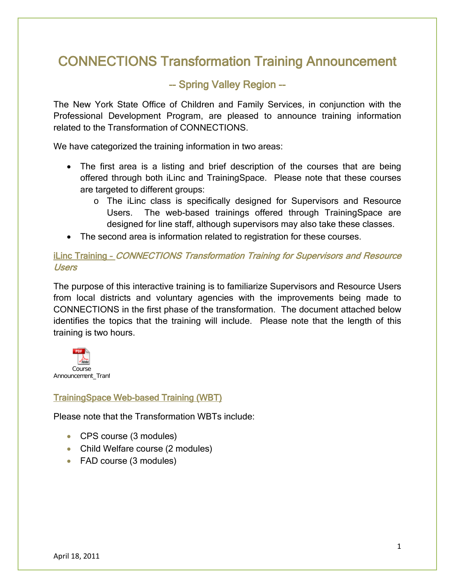# CONNECTIONS Transformation Training Announcement

# -- Spring Valley Region --

The New York State Office of Children and Family Services, in conjunction with the Professional Development Program, are pleased to announce training information related to the Transformation of CONNECTIONS.

We have categorized the training information in two areas:

- The first area is a listing and brief description of the courses that are being offered through both iLinc and TrainingSpace. Please note that these courses are targeted to different groups:
	- o The iLinc class is specifically designed for Supervisors and Resource Users. The web-based trainings offered through TrainingSpace are designed for line staff, although supervisors may also take these classes.
- The second area is information related to registration for these courses.

## iLinc Training – CONNECTIONS Transformation Training for Supervisors and Resource Users

The purpose of this interactive training is to familiarize Supervisors and Resource Users from local districts and voluntary agencies with the improvements being made to CONNECTIONS in the first phase of the transformation. The document attached below identifies the topics that the training will include. Please note that the length of this training is two hours.



## TrainingSpace Web-based Training (WBT)

Please note that the Transformation WBTs include:

- CPS course (3 modules)
- Child Welfare course (2 modules)
- FAD course (3 modules)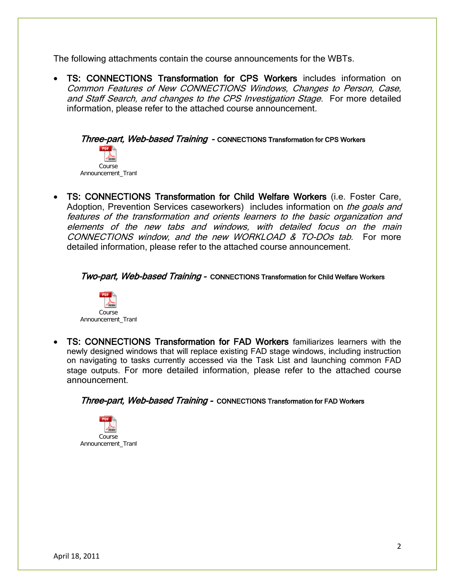The following attachments contain the course announcements for the WBTs.

• TS: CONNECTIONS Transformation for CPS Workers includes information on Common Features of New CONNECTIONS Windows, Changes to Person, Case, and Staff Search, and changes to the CPS Investigation Stage. For more detailed information, please refer to the attached course announcement.

Three-part, Web-based Training - CONNECTIONS Transformation for CPS Workers Course Announcement\_Tranf

• TS: CONNECTIONS Transformation for Child Welfare Workers (i.e. Foster Care, Adoption, Prevention Services caseworkers) includes information on the goals and features of the transformation and orients learners to the basic organization and elements of the new tabs and windows, with detailed focus on the main CONNECTIONS window, and the new WORKLOAD & TO-DOs tab. For more detailed information, please refer to the attached course announcement.

#### Two-part, Web-based Training - CONNECTIONS Transformation for Child Welfare Workers



• TS: CONNECTIONS Transformation for FAD Workers familiarizes learners with the newly designed windows that will replace existing FAD stage windows, including instruction on navigating to tasks currently accessed via the Task List and launching common FAD stage outputs. For more detailed information, please refer to the attached course announcement.

Three-part, Web-based Training - CONNECTIONS Transformation for FAD Workers

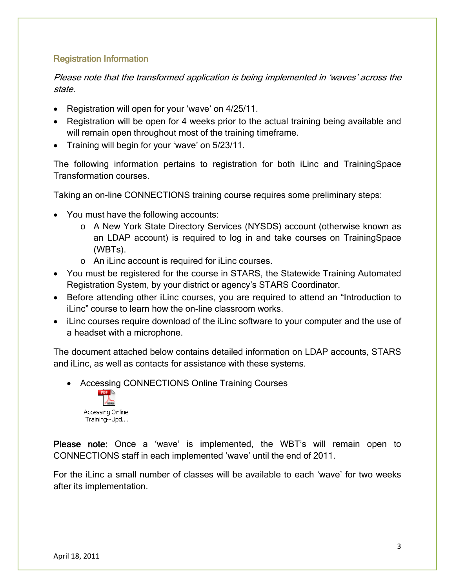## Registration Information

Please note that the transformed application is being implemented in 'waves' across the state.

- Registration will open for your 'wave' on 4/25/11.
- Registration will be open for 4 weeks prior to the actual training being available and will remain open throughout most of the training time frame.
- Training will begin for your 'wave' on 5/23/11.

The following information pertains to registration for both iLinc and TrainingSpace Transformation courses.

Taking an on-line CONNECTIONS training course requires some preliminary steps:

- You must have the following accounts:
	- o A New York State Directory Services (NYSDS) account (otherwise known as an LDAP account) is required to log in and take courses on TrainingSpace (WBTs).
	- o An iLinc account is required for iLinc courses.
- You must be registered for the course in STARS, the Statewide Training Automated Registration System, by your district or agency's STARS Coordinator.
- Before attending other iLinc courses, you are required to attend an "Introduction to iLinc" course to learn how the on-line classroom works.
- iLinc courses require download of the iLinc software to your computer and the use of a headset with a microphone.

The document attached below contains detailed information on LDAP accounts, STARS and iLinc, as well as contacts for assistance with these systems.

• Accessing CONNECTIONS Online Training Courses



Please note: Once a 'wave' is implemented, the WBT's will remain open to CONNECTIONS staff in each implemented 'wave' until the end of 2011.

For the iLinc a small number of classes will be available to each 'wave' for two weeks after its implementation.